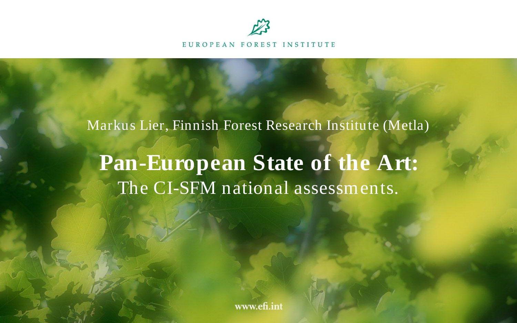

EUROPEAN FOREST INSTITUTE

# Markus Lier, Finnish Forest Research Institute (Metla) **Pan-European State of the Art:** The CI-SFM national assessments.

www.efi.int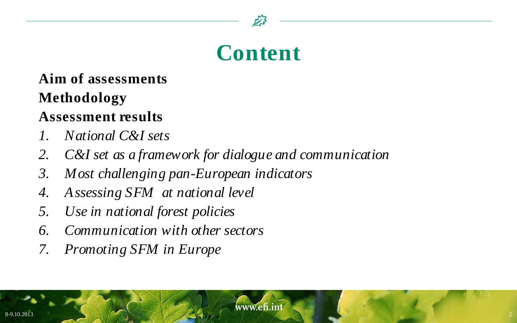

#### **Content**

#### **Aim of assessments Methodology**

#### **Assessment results**

- *1. National C&I sets*
- *2. C&I set as a framework for dialogue and communication*
- *3. Most challenging pan-European indicators*
- *4. Assessing SFM at national level*
- *5. Use in national forest policies*
- *6. Communication with other sectors*
- *7. Promoting SFM in Europe*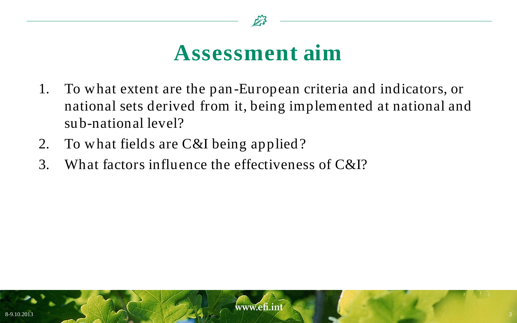

#### **Assessment aim**

- 1. To what extent are the pan-European criteria and indicators, or national sets derived from it, being implemented at national and sub-national level?
- 2. To what fields are C&I being applied?
- 3. What factors influence the effectiveness of C&I?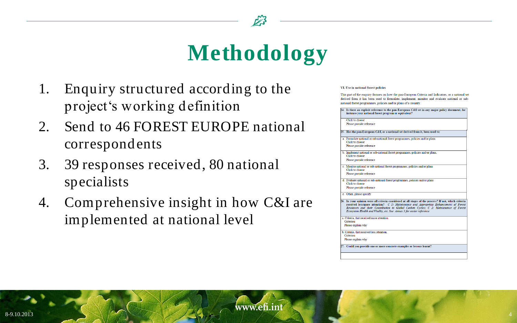

## **Methodology**

- 1. Enquiry structured according to the project's working definition
- 2. Send to 46 FOREST EUROPE national correspondents
- 3. 39 responses received, 80 national specialists
- 4. Comprehensive insight in how C&I are implemented at national level

#### VI. Use in national forest policies

This part of the enquiry focuses on how the pan-European Criteria and Indicators, or a national set derived from it has been used to formulate, implement, monitor and evaluate national or subnational forest programmes, policies and/or plans of a country

24. Is there an explicit reference to the pan-European C&I set in any major policy document, for instance your national forest program or equivalent? Click to choose Please provide reference 25. Has the pan-European C&I, or a national set derived from it, been used to: a. Formulate national or sub-national forest programmes, policies and/or plans Click to choose Please provide reference b. Implement national or sub-national forest programmes, policies and/or plans, Click to choose Please provide reference Monitor national or sub-national forest programmes, policies and/or plans Click to choose Please provide reference d. Evaluate national or sub-national forest programmes, policies and/or plans Click to choose Please provide reference e. Other, please specify . In your opinion were all criteria considered at all stages of the process? If not, which criteria received less/more attention? C 1: Maintenance and Appropriate Enhancement of Forest Resources and their Contribution to Global Carbon Cycles; C 2: Maintenance of Forest Ecosystem Health and Vitality, etc. See Annex 3 for easier reference 1. Criteria, that received more attention Criterion Please explain why b. Criteria, that received less attention Criterion Please explain why 27. Could you provide one or more concrete examples or lessons learnt?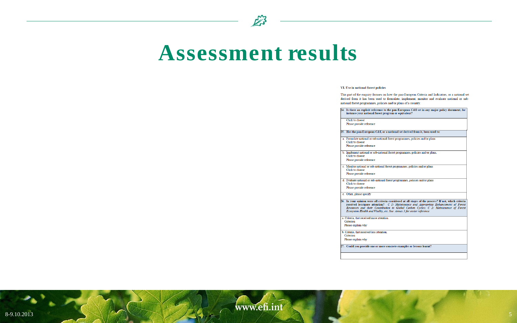

#### **Assessment results**

#### VI. Use in national forest policies

This part of the enquiry focuses on how the pan-European Criteria and Indicators, or a national set derived from it has been used to formulate, implement, monitor and evaluate national or subnational forest programmes, policies and/or plans of a country.

24. Is there an explicit reference to the pan-European C&I set in any major policy document, for instance your national forest program or equivalent? Click to choose Please provide reference 25. Has the pan-European C&I, or a national set derived from it, been used to: a. Formulate national or sub-national forest programmes, policies and/or plans Click to choose Please provide reference b. Implement national or sub-national forest programmes, policies and/or plans, Click to choose Please provide reference c. Monitor national or sub-national forest programmes, policies and/or plans Click to choose Please provide reference d. Evaluate national or sub-national forest programmes, policies and/or plans Click to choose Please provide reference e. Other, please specify 26. In your opinion were all criteria considered at all stages of the process? If not, which criteria received less/more attention? C 1: Maintenance and Appropriate Enhancement of Forest Resources and their Contribution to Global Carbon Cycles; C 2: Maintenance of Forest Ecosystem Health and Vitality, etc. See Annex 3 for easier reference a. Criteria, that received more attention. Criterion Please explain why b. Criteria, that received less attention. Criterion Please explain why 27. Could you provide one or more concrete examples or lessons learnt?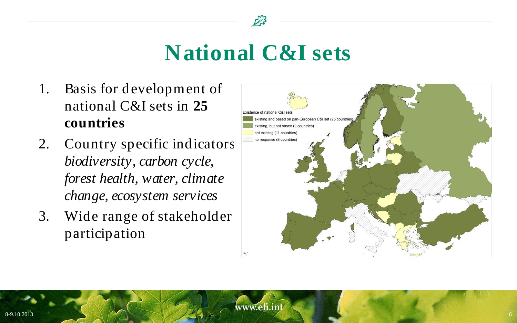

#### **National C&I sets**

- 1. Basis for development of national C&I sets in **25 countries**
- 2. Country specific indicators: *biodiversity, carbon cycle, forest health, water, climate change, ecosystem services*
- 3. Wide range of stakeholder participation

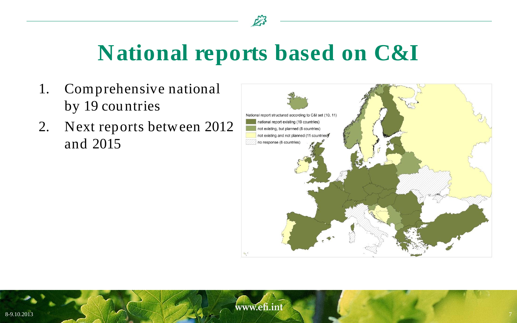

#### **National reports based on C&I**

- 1. Comprehensive national by 19 countries
- 2. Next reports between 2012 and 2015

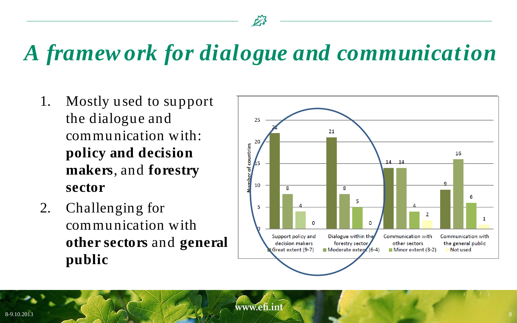## *A framew ork for dialogue and communication*

- 1. Mostly used to support the dialogue and communication with: **policy and decision makers**, and **forestry sector**
- 2. Challenging for communication with **other sectors** and **general public**

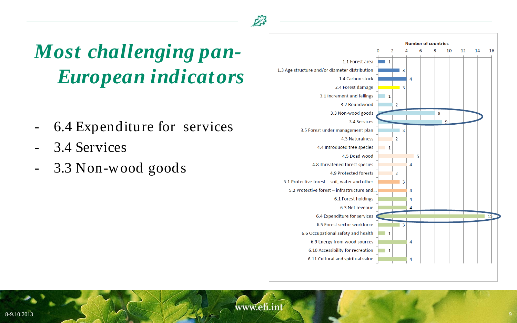## *Most challenging pan-European indicators*

- 6.4 Expenditure for services
- 3.4 Services
- 3.3 Non-wood goods

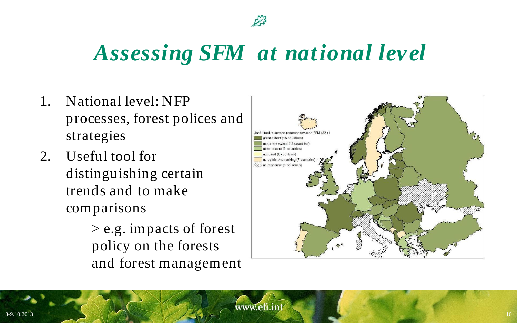![](_page_9_Picture_0.jpeg)

### *Assessing SFM at national level*

- 1. National level: NFP processes, forest polices and strategies
- 2. Useful tool for distinguishing certain trends and to make comparisons

> e.g. impacts of forest policy on the forests and forest management

![](_page_9_Figure_5.jpeg)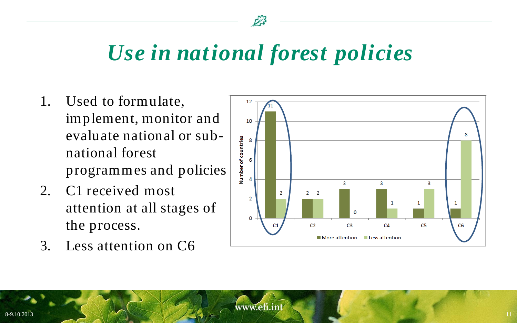![](_page_10_Picture_0.jpeg)

### *Use in national forest policies*

- 1. Used to formulate, implement, monitor and evaluate national or subnational forest programmes and policies
- 2. C1 received most attention at all stages of the process.
- 3. Less attention on C6

![](_page_10_Figure_5.jpeg)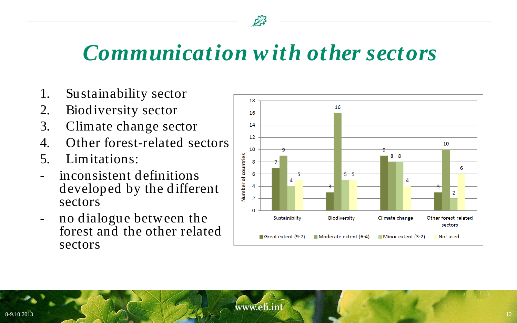![](_page_11_Picture_0.jpeg)

#### *Communication w ith other sectors*

- 1. Sustainability sector
- 2. Biodiversity sector
- 3. Climate change sector
- 4. Other forest-related sectors
- 5. Limitations:
- inconsistent definitions developed by the different sectors
- no dialogue between the forest and the other related sectors

![](_page_11_Figure_9.jpeg)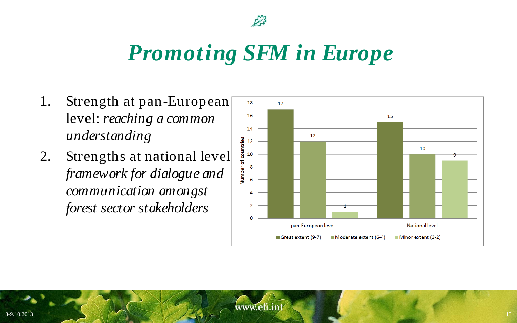![](_page_12_Picture_0.jpeg)

#### *Promoting SFM in Europe*

- 1. Strength at pan-European level: *reaching a common understanding*
- 2. Strengths at national level *framework for dialogue and communication amongst forest sector stakeholders*

![](_page_12_Figure_4.jpeg)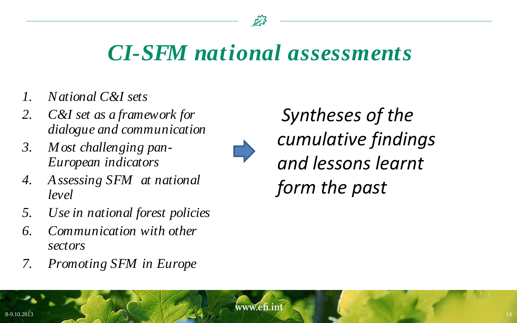#### *CI-SFM national assessments*

- *1. National C&I sets*
- *2. C&I set as a framework for dialogue and communication*
- *3. Most challenging pan-European indicators*
- *4. Assessing SFM at national level*
- *5. Use in national forest policies*
- *6. Communication with other sectors*
- *7. Promoting SFM in Europe*

*Syntheses of the cumulative findings and lessons learnt form the past* 

www.efi.int